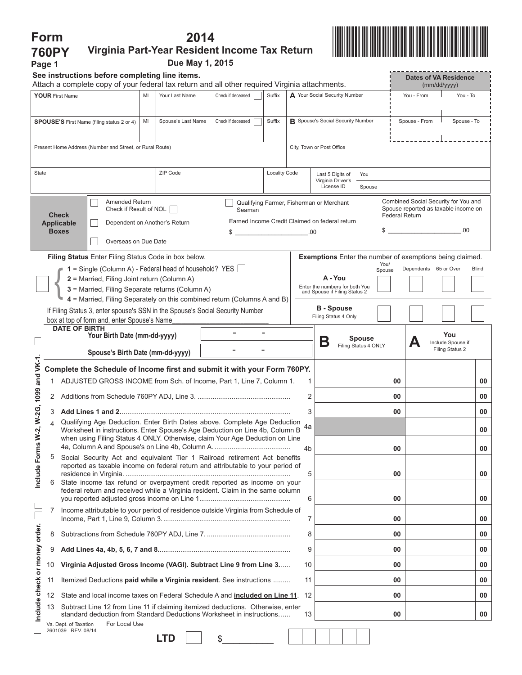|                                                                                                                                                                                                | Form<br>2014<br>Virginia Part-Year Resident Income Tax Return<br><b>760PY</b> |                                                                                                                                                                                                                                                 |            |                                                                             |                   |                                                                      |                           |                                          |                                                                    |                                      |                              |                                                                              |     |              |
|------------------------------------------------------------------------------------------------------------------------------------------------------------------------------------------------|-------------------------------------------------------------------------------|-------------------------------------------------------------------------------------------------------------------------------------------------------------------------------------------------------------------------------------------------|------------|-----------------------------------------------------------------------------|-------------------|----------------------------------------------------------------------|---------------------------|------------------------------------------|--------------------------------------------------------------------|--------------------------------------|------------------------------|------------------------------------------------------------------------------|-----|--------------|
|                                                                                                                                                                                                | Due May 1, 2015<br>Page 1                                                     |                                                                                                                                                                                                                                                 |            |                                                                             |                   |                                                                      |                           |                                          |                                                                    |                                      |                              |                                                                              |     |              |
| See instructions before completing line items.<br><b>Dates of VA Residence</b>                                                                                                                 |                                                                               |                                                                                                                                                                                                                                                 |            |                                                                             |                   |                                                                      |                           |                                          |                                                                    |                                      |                              |                                                                              |     |              |
| Attach a complete copy of your federal tax return and all other required Virginia attachments.                                                                                                 |                                                                               |                                                                                                                                                                                                                                                 |            |                                                                             |                   |                                                                      |                           |                                          | A Your Social Security Number                                      |                                      |                              | (mm/dd/yyyy)                                                                 |     |              |
| Suffix<br><b>YOUR</b> First Name<br>MI<br>Your Last Name<br>Check if deceased                                                                                                                  |                                                                               |                                                                                                                                                                                                                                                 |            |                                                                             |                   |                                                                      |                           |                                          |                                                                    |                                      | You - From<br>You - To       |                                                                              |     |              |
| MI<br>Spouse's Last Name<br><b>SPOUSE'S</b> First Name (filing status 2 or 4)                                                                                                                  |                                                                               |                                                                                                                                                                                                                                                 |            |                                                                             | Check if deceased |                                                                      | Suffix                    | <b>B</b> Spouse's Social Security Number |                                                                    |                                      | Spouse - From<br>Spouse - To |                                                                              |     |              |
| Present Home Address (Number and Street, or Rural Route)                                                                                                                                       |                                                                               |                                                                                                                                                                                                                                                 |            |                                                                             |                   |                                                                      | City, Town or Post Office |                                          |                                                                    |                                      |                              |                                                                              |     |              |
| State                                                                                                                                                                                          |                                                                               |                                                                                                                                                                                                                                                 | ZIP Code   |                                                                             |                   | <b>Locality Code</b><br>You<br>Last 5 Digits of<br>Virginia Driver's |                           |                                          |                                                                    |                                      |                              |                                                                              |     |              |
|                                                                                                                                                                                                |                                                                               |                                                                                                                                                                                                                                                 |            |                                                                             |                   |                                                                      |                           |                                          | License ID                                                         | Spouse                               |                              |                                                                              |     |              |
|                                                                                                                                                                                                |                                                                               | Amended Return<br>Check if Result of NOL  <br><b>Check</b>                                                                                                                                                                                      |            |                                                                             |                   | Seaman                                                               |                           |                                          | Qualifying Farmer, Fisherman or Merchant                           |                                      | <b>Federal Return</b>        | Combined Social Security for You and<br>Spouse reported as taxable income on |     |              |
|                                                                                                                                                                                                |                                                                               | <b>Applicable</b><br>Dependent on Another's Return                                                                                                                                                                                              |            |                                                                             |                   |                                                                      |                           |                                          | Earned Income Credit Claimed on federal return<br>$\sim$ 00.<br>\$ |                                      |                              |                                                                              |     |              |
|                                                                                                                                                                                                |                                                                               | <b>Boxes</b><br>Overseas on Due Date                                                                                                                                                                                                            |            |                                                                             |                   | $\frac{1}{2}$                                                        |                           | .00                                      |                                                                    |                                      |                              |                                                                              |     |              |
|                                                                                                                                                                                                |                                                                               | Filing Status Enter Filing Status Code in box below.                                                                                                                                                                                            |            |                                                                             |                   |                                                                      |                           |                                          | <b>Exemptions</b> Enter the number of exemptions being claimed.    |                                      |                              |                                                                              |     |              |
|                                                                                                                                                                                                |                                                                               | $1 =$ Single (Column A) - Federal head of household? YES $\Box$                                                                                                                                                                                 |            |                                                                             |                   |                                                                      |                           |                                          |                                                                    | You/<br>Spouse                       |                              | Dependents 65 or Over                                                        |     | <b>Blind</b> |
|                                                                                                                                                                                                |                                                                               | 2 = Married, Filing Joint return (Column A)<br>3 = Married, Filing Separate returns (Column A)                                                                                                                                                  |            |                                                                             |                   |                                                                      |                           |                                          | A - You<br>Enter the numbers for both You                          |                                      |                              |                                                                              |     |              |
|                                                                                                                                                                                                |                                                                               | 4 = Married, Filing Separately on this combined return (Columns A and B)                                                                                                                                                                        |            |                                                                             |                   |                                                                      |                           |                                          | and Spouse if Filing Status 2                                      |                                      |                              |                                                                              |     |              |
|                                                                                                                                                                                                |                                                                               | If Filing Status 3, enter spouse's SSN in the Spouse's Social Security Number                                                                                                                                                                   |            |                                                                             |                   |                                                                      |                           |                                          | <b>B</b> - Spouse                                                  |                                      |                              |                                                                              |     |              |
|                                                                                                                                                                                                |                                                                               | box at top of form and, enter Spouse's Name                                                                                                                                                                                                     |            |                                                                             |                   |                                                                      |                           |                                          | Filing Status 4 Only                                               |                                      |                              |                                                                              |     |              |
|                                                                                                                                                                                                | <b>DATE OF BIRTH</b><br>Your Birth Date (mm-dd-yyyy)                          |                                                                                                                                                                                                                                                 |            |                                                                             |                   |                                                                      |                           |                                          |                                                                    | <b>Spouse</b>                        |                              |                                                                              | You |              |
|                                                                                                                                                                                                |                                                                               | Spouse's Birth Date (mm-dd-yyyy)                                                                                                                                                                                                                |            |                                                                             |                   | Β                                                                    | Filing Status 4 ONLY      |                                          |                                                                    | Include Spouse if<br>Filing Status 2 |                              |                                                                              |     |              |
|                                                                                                                                                                                                | Complete the Schedule of Income first and submit it with your Form 760PY.     |                                                                                                                                                                                                                                                 |            |                                                                             |                   |                                                                      |                           |                                          |                                                                    |                                      |                              |                                                                              |     |              |
| 1099 and VK-1                                                                                                                                                                                  |                                                                               |                                                                                                                                                                                                                                                 |            | 1 ADJUSTED GROSS INCOME from Sch. of Income, Part 1, Line 7, Column 1.<br>1 |                   |                                                                      |                           |                                          | 00                                                                 |                                      |                              | 00                                                                           |     |              |
|                                                                                                                                                                                                |                                                                               |                                                                                                                                                                                                                                                 | 2          |                                                                             |                   |                                                                      |                           | 00                                       |                                                                    |                                      | 00                           |                                                                              |     |              |
|                                                                                                                                                                                                | 3                                                                             |                                                                                                                                                                                                                                                 |            |                                                                             |                   |                                                                      |                           |                                          |                                                                    |                                      | 00                           |                                                                              |     | 00           |
|                                                                                                                                                                                                | $\Delta$                                                                      | Qualifying Age Deduction. Enter Birth Dates above. Complete Age Deduction<br>4a<br>Worksheet in instructions. Enter Spouse's Age Deduction on Line 4b, Column B<br>when using Filing Status 4 ONLY. Otherwise, claim Your Age Deduction on Line |            |                                                                             |                   |                                                                      |                           |                                          |                                                                    |                                      |                              |                                                                              | 00  |              |
|                                                                                                                                                                                                | 5                                                                             |                                                                                                                                                                                                                                                 |            |                                                                             |                   |                                                                      |                           | 4 <sub>b</sub>                           |                                                                    |                                      | 00                           |                                                                              |     | 00           |
| Include Forms W-2, W-2G,<br>Social Security Act and equivalent Tier 1 Railroad retirement Act benefits<br>reported as taxable income on federal return and attributable to your period of<br>5 |                                                                               |                                                                                                                                                                                                                                                 |            |                                                                             |                   | 00                                                                   |                           |                                          | 00                                                                 |                                      |                              |                                                                              |     |              |
|                                                                                                                                                                                                | 6                                                                             | State income tax refund or overpayment credit reported as income on your<br>federal return and received while a Virginia resident. Claim in the same column                                                                                     |            |                                                                             |                   |                                                                      |                           |                                          |                                                                    |                                      |                              |                                                                              |     |              |
|                                                                                                                                                                                                | 7                                                                             | Income attributable to your period of residence outside Virginia from Schedule of                                                                                                                                                               |            |                                                                             |                   |                                                                      |                           | 6                                        |                                                                    |                                      | 00                           |                                                                              |     | 00           |
|                                                                                                                                                                                                | 8                                                                             |                                                                                                                                                                                                                                                 |            |                                                                             |                   |                                                                      |                           | 7<br>8                                   |                                                                    |                                      | 00<br>00                     |                                                                              |     | 00<br>00     |
|                                                                                                                                                                                                | 9                                                                             | 9                                                                                                                                                                                                                                               |            |                                                                             |                   |                                                                      |                           |                                          |                                                                    | 00                                   |                              |                                                                              | 00  |              |
|                                                                                                                                                                                                | 10                                                                            | Virginia Adjusted Gross Income (VAGI). Subtract Line 9 from Line 3<br>10                                                                                                                                                                        |            |                                                                             |                   |                                                                      |                           |                                          |                                                                    | 00                                   |                              |                                                                              | 00  |              |
|                                                                                                                                                                                                | 11                                                                            | Itemized Deductions paid while a Virginia resident. See instructions<br>11                                                                                                                                                                      |            |                                                                             |                   |                                                                      |                           |                                          |                                                                    |                                      | 00                           |                                                                              |     | 00           |
|                                                                                                                                                                                                | $12 \overline{ }$                                                             | State and local income taxes on Federal Schedule A and <b>included on Line 11</b> .<br>12                                                                                                                                                       |            |                                                                             |                   |                                                                      |                           |                                          |                                                                    |                                      | 00                           |                                                                              |     | 00           |
| Include check or money order.                                                                                                                                                                  | 13                                                                            | Subtract Line 12 from Line 11 if claiming itemized deductions. Otherwise, enter<br>standard deduction from Standard Deductions Worksheet in instructions<br>13                                                                                  |            |                                                                             |                   |                                                                      |                           |                                          |                                                                    | 00                                   |                              |                                                                              | 00  |              |
|                                                                                                                                                                                                | For Local Use<br>Va. Dept. of Taxation<br>2601039 REV. 08/14                  |                                                                                                                                                                                                                                                 |            |                                                                             |                   |                                                                      |                           |                                          |                                                                    |                                      |                              |                                                                              |     |              |
|                                                                                                                                                                                                |                                                                               |                                                                                                                                                                                                                                                 | <b>LTD</b> |                                                                             | \$                |                                                                      |                           |                                          |                                                                    |                                      |                              |                                                                              |     |              |